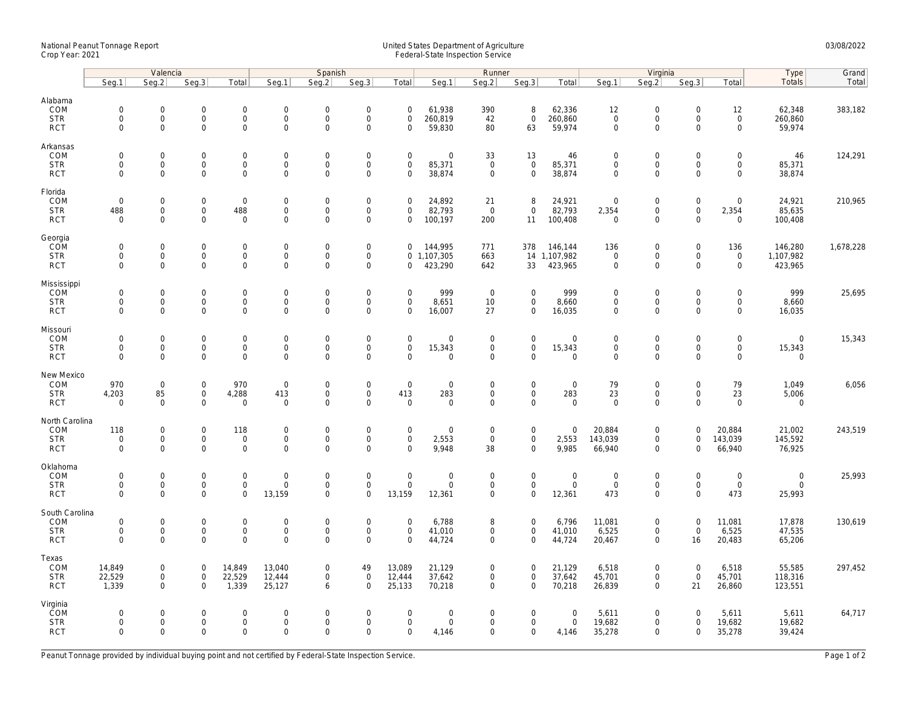## National Peanut Tonnage Report United States Department of Agriculture 03/08/2022<br>Crop Year: 2021 Federal-State Inspection Service

|                                     | Valencia                                   |                                    |                                            |                                    |                                 | Spanish                                    |                                    |                                    | Runner                     |                            |                              |                             | Virginia                                   |                                            |                                    |                                 | Type                  | Grand     |
|-------------------------------------|--------------------------------------------|------------------------------------|--------------------------------------------|------------------------------------|---------------------------------|--------------------------------------------|------------------------------------|------------------------------------|----------------------------|----------------------------|------------------------------|-----------------------------|--------------------------------------------|--------------------------------------------|------------------------------------|---------------------------------|-----------------------|-----------|
|                                     | Seg.1                                      | Seq.2                              | Seg.3                                      | Total                              | Seg.1                           | Seq.2                                      | Seg.3                              | Total                              | Seg.1                      | Seg.2                      | Seg.3                        | Total                       | Seg.1                                      | Seq.2                                      | Seg.3                              | Total                           | Totals                | Total     |
| Alabama<br>COM                      | $\mathsf{O}\xspace$                        | $\mathsf{O}\xspace$                | $\mathsf{O}\xspace$                        | $\mathbf 0$                        | $\boldsymbol{0}$                | $\mathbf 0$                                | $\mathbf 0$                        | $\mathbf 0$                        | 61,938                     | 390                        | 8                            | 62,336                      | 12                                         | $\mathsf{O}\xspace$                        | $\mathsf{O}\xspace$                | 12                              | 62,348                | 383,182   |
| <b>STR</b><br><b>RCT</b>            | $\mathbf 0$<br>$\mathsf{O}\xspace$         | $\mathbf 0$<br>$\mathbf 0$         | $\mathbf 0$<br>$\mathbf 0$                 | $\mathbf 0$<br>0                   | $\mathbf 0$<br>$\mathsf 0$      | $\mathbf{0}$<br>$\mathbf 0$                | $\mathbf 0$<br>$\mathbf 0$         | $\mathbf 0$<br>$\Omega$            | 260,819<br>59,830          | 42<br>80                   | $\mathbf{0}$<br>63           | 260,860<br>59,974           | $\mathbf 0$<br>$\mathbf 0$                 | $\mathsf{O}\xspace$<br>$\mathsf{O}\xspace$ | $\mathbf 0$<br>$\Omega$            | $\mathsf{O}$<br>$\mathbf 0$     | 260,860<br>59,974     |           |
| Arkansas<br>COM                     | $\mathsf{O}\xspace$                        | $\mathbf 0$                        | $\mathsf{O}\xspace$                        | 0                                  | $\mathsf 0$                     | $\mathsf{O}\xspace$                        | $\mathbf 0$                        | $\mathbf 0$                        | $\mathsf{O}\xspace$        | 33                         | 13                           | 46                          | $\mathbf 0$                                | $\mathsf{O}\xspace$                        | $\mathbf 0$                        | $\mathsf{O}\xspace$             | 46                    | 124,291   |
| <b>STR</b><br><b>RCT</b>            | $\mathsf{O}\xspace$<br>$\Omega$            | $\mathbf 0$<br>$\Omega$            | $\mathsf{O}\xspace$<br>$\mathbf{0}$        | 0<br>$\mathbf{0}$                  | $\mathsf 0$<br>$\mathbf 0$      | $\mathbf 0$<br>$\Omega$                    | $\mathbf 0$<br>$\mathbf 0$         | $\mathsf{O}\xspace$<br>$\Omega$    | 85,371<br>38,874           | $\mathbf 0$<br>$\mathbf 0$ | $\mathbf 0$<br>$\mathbf 0$   | 85,371<br>38,874            | $\mathbf 0$<br>$\mathbf 0$                 | $\mathsf{O}\xspace$<br>$\mathbf 0$         | $\mathsf{O}\xspace$<br>$\Omega$    | $\mathsf{O}\xspace$<br>$\Omega$ | 85,371<br>38,874      |           |
| Florida<br>COM                      | $\mathbf 0$                                | $\mathbf 0$                        | $\mathbf 0$                                | $\mathbf 0$                        | $\mathbf 0$                     | $\mathbf 0$                                | $\mathsf{O}\xspace$                | $\mathbf 0$                        | 24,892                     | 21                         | 8                            | 24,921                      | $\overline{0}$                             | $\mathsf{O}\xspace$                        | $\mathsf{O}\xspace$                | $\mathbf 0$                     | 24,921                | 210,965   |
| <b>STR</b><br><b>RCT</b>            | 488<br>$\mathbf 0$                         | $\mathbf 0$<br>$\Omega$            | $\mathbf 0$<br>$\mathbf 0$                 | 488<br>$\mathbf 0$                 | $\boldsymbol{0}$<br>$\mathbf 0$ | $\mathsf{O}\xspace$<br>$\mathbf 0$         | $\mathsf{O}\xspace$<br>$\mathbf 0$ | $\mathbf 0$<br>$\mathbf 0$         | 82,793<br>100,197          | $\overline{0}$<br>200      | $\mathbf 0$<br>11            | 82,793<br>100,408           | 2,354<br>$\overline{0}$                    | $\mathsf{O}\xspace$<br>$\mathbf 0$         | $\mathsf{O}\xspace$<br>$\Omega$    | 2,354<br>$\mathbf 0$            | 85,635<br>100,408     |           |
| Georgia<br>COM                      | $\mathbf 0$                                | $\mathbf 0$                        | $\mathsf{O}\xspace$                        | 0                                  | $\mathbf 0$                     | $\mathbf 0$                                | $\mathbf 0$                        | $\mathbf 0$                        | 144,995                    | 771                        | 378                          | 146,144                     | 136                                        | $\mathsf{O}\xspace$                        | $\mathsf{O}\xspace$                | 136                             | 146,280               | 1,678,228 |
| <b>STR</b><br><b>RCT</b>            | $\mathbf 0$<br>$\mathbf 0$                 | $\mathsf{O}\xspace$<br>$\mathbf 0$ | $\mathsf{O}\xspace$<br>$\mathbf 0$         | 0<br>0                             | $\boldsymbol{0}$<br>$\mathsf 0$ | $\mathbf 0$<br>$\mathsf{O}\xspace$         | $\mathbf 0$<br>$\mathbf 0$         | $\mathbf 0$                        | 0 1,107,305<br>423,290     | 663<br>642                 | 33                           | 14 1,107,982<br>423,965     | $\mathsf{O}\xspace$<br>$\mathsf{O}\xspace$ | $\mathsf{O}\xspace$<br>$\mathbf 0$         | $\mathsf{O}\xspace$<br>$\mathbf 0$ | $\mathsf 0$<br>$\mathbf 0$      | 1,107,982<br>423,965  |           |
| Mississippi<br>COM                  | $\mathsf{O}\xspace$                        | $\mathbf 0$                        | $\mathsf{O}\xspace$                        | 0                                  | $\mathbf 0$                     | $\mathsf{O}\xspace$                        | $\mathbf 0$                        | $\mathbf 0$                        | 999                        | $\mathsf 0$                | $\mathbf 0$                  | 999                         | $\mathbf 0$                                | $\mathsf{O}\xspace$                        | $\Omega$                           | $\mathbf 0$                     | 999                   | 25,695    |
| <b>STR</b><br><b>RCT</b>            | $\mathbf 0$<br>$\mathbf 0$                 | $\mathbf 0$<br>$\mathbf 0$         | $\mathbf 0$<br>$\mathbf 0$                 | $\overline{0}$<br>0                | $\mathbf 0$<br>$\mathsf 0$      | $\mathbf{0}$<br>$\mathbf 0$                | $\mathbf 0$<br>$\mathbf 0$         | $\mathbf 0$<br>$\mathbf 0$         | 8,651<br>16,007            | 10<br>27                   | $\mathbf{0}$<br>$\mathbf 0$  | 8,660<br>16,035             | $\mathbf 0$<br>$\mathbf 0$                 | $\mathbf 0$<br>$\mathsf{O}\xspace$         | $\mathbf 0$<br>$\mathbf 0$         | $\mathbf 0$<br>$\mathbf 0$      | 8,660<br>16,035       |           |
| Missouri<br>COM                     | $\mathsf{O}\xspace$                        | $\mathbf 0$                        | $\mathsf{O}\xspace$                        | 0                                  | $\mathbf 0$                     | $\mathsf{O}\xspace$                        | $\mathbf 0$                        | $\mathsf{O}\xspace$                | $\mathsf{O}\xspace$        | $\mathsf 0$                | $\mathbf 0$                  | $\mathbf 0$                 | $\mathbf 0$                                | $\mathsf{O}\xspace$                        | $\mathsf{O}\xspace$                | $\mathsf{O}\xspace$             | $\mathbf 0$           | 15,343    |
| <b>STR</b><br><b>RCT</b>            | $\mathbf 0$<br>$\Omega$                    | $\mathbf 0$<br>$\mathbf 0$         | $\mathsf{O}\xspace$<br>$\mathbf{0}$        | 0<br>$\mathbf{0}$                  | $\mathsf 0$<br>$\mathbf 0$      | $\mathsf{O}\xspace$<br>$\mathbf 0$         | $\mathbf 0$<br>$\mathbf 0$         | $\mathsf{O}\xspace$<br>$\Omega$    | 15,343<br>$\mathbf 0$      | 0<br>$\Omega$              | $\mathbf 0$<br>$\Omega$      | 15,343<br>$\mathbf 0$       | $\mathsf{O}\xspace$<br>$\mathbf 0$         | $\mathsf{O}\xspace$<br>$\Omega$            | $\mathbf 0$<br>$\Omega$            | $\mathbf 0$<br>$\mathbf 0$      | 15,343<br>$\mathbf 0$ |           |
| New Mexico<br>COM                   | 970                                        | $\mathbf 0$                        | $\mathbf 0$                                | 970                                | $\mathsf 0$                     | $\mathsf{O}\xspace$                        | $\mathsf{O}\xspace$                | $\mathbf 0$                        | $\mathsf{O}\xspace$        | $\mathbf 0$                | $\mathsf{O}$                 | $\mathsf 0$                 | 79                                         | $\mathsf{O}\xspace$                        | $\mathbf 0$                        | 79                              | 1,049                 | 6,056     |
| <b>STR</b><br><b>RCT</b>            | 4,203<br>$\mathbf 0$                       | 85<br>$\mathbf 0$                  | $\mathsf{O}\xspace$<br>$\mathbf 0$         | 4,288<br>$\mathbf 0$               | 413<br>$\mathbf 0$              | $\mathbf 0$<br>$\mathbf 0$                 | $\mathsf{O}\xspace$<br>$\mathbf 0$ | 413<br>$\mathbf 0$                 | 283<br>$\mathbf 0$         | $\mathsf 0$<br>$\mathbf 0$ | $\mathbf 0$<br>$\mathbf{0}$  | 283<br>$\mathbf 0$          | 23<br>$\mathbf 0$                          | $\mathsf{O}\xspace$<br>$\mathbf 0$         | $\mathbf 0$<br>$\Omega$            | 23<br>$\mathbf 0$               | 5,006<br>$\mathbf 0$  |           |
| North Carolina<br><b>COM</b>        | 118                                        | $\mathbf 0$                        | $\mathbf 0$                                | 118                                | $\mathbf 0$                     | $\mathbf 0$                                | $\mathbf 0$                        | $\mathbf 0$                        | $\mathbf 0$                | $\mathbf 0$                | $\mathbf 0$                  | $\mathbf 0$                 | 20,884                                     | $\mathbf 0$                                | $\Omega$                           | 20,884                          | 21,002                | 243,519   |
| <b>STR</b><br><b>RCT</b>            | $\mathsf{O}\xspace$<br>$\mathbf 0$         | $\mathsf{O}\xspace$<br>$\mathbf 0$ | $\mathbf 0$<br>$\mathbf 0$                 | $\mathbf 0$<br>$\mathbf 0$         | $\mathsf 0$<br>$\mathbf 0$      | $\mathbf 0$<br>$\mathbf 0$                 | $\mathbf 0$<br>$\mathbf 0$         | $\mathsf{O}\xspace$<br>$\Omega$    | 2,553<br>9,948             | $\mathsf 0$<br>38          | $\mathsf{O}$<br>$\mathbf{0}$ | 2,553<br>9,985              | 143,039<br>66,940                          | $\mathsf{O}\xspace$<br>$\mathbf 0$         | $\mathbf 0$<br>$\Omega$            | 143,039<br>66,940               | 145,592<br>76,925     |           |
| Oklahoma<br>COM                     | $\mathbf 0$                                | $\mathbf 0$                        | $\mathbf 0$                                | 0                                  | $\mathbf 0$                     | $\mathsf{O}\xspace$                        | $\mathbf 0$                        | $\mathbf 0$                        | $\mathsf{O}\xspace$        | $\mathsf 0$                | $\mathbf 0$                  | $\mathbf 0$                 | $\mathbf 0$                                | $\mathsf{O}\xspace$                        | $\mathbf 0$                        | $\mathsf{O}\xspace$             | $\mathbf 0$           | 25,993    |
| <b>STR</b><br><b>RCT</b>            | $\mathbf 0$<br>$\mathbf 0$                 | $\mathsf{O}\xspace$<br>$\mathbf 0$ | $\mathbf 0$<br>$\mathbf 0$                 | $\mathsf{O}\xspace$<br>0           | $\mathsf{O}\xspace$<br>13,159   | $\mathbf 0$<br>$\mathbf 0$                 | $\mathsf{O}\xspace$<br>$\mathbf 0$ | $\mathbf 0$<br>13,159              | $\mathbf 0$<br>12,361      | $\mathbf 0$<br>$\mathbf 0$ | $\mathbf 0$<br>0             | $\mathsf{O}$<br>12,361      | $\mathbf 0$<br>473                         | $\mathsf{O}\xspace$<br>$\mathbf 0$         | $\mathbf 0$<br>$\Omega$            | $\mathsf{O}$<br>473             | $\mathbf 0$<br>25,993 |           |
| South Carolina<br>COM<br><b>STR</b> | $\mathsf{O}\xspace$<br>$\mathsf{O}\xspace$ | $\mathbf 0$<br>$\mathbf 0$         | $\mathsf{O}\xspace$<br>$\mathsf{O}\xspace$ | $\mathbf 0$<br>$\mathsf{O}\xspace$ | $\mathbf 0$<br>$\mathbf 0$      | $\mathsf{O}\xspace$<br>$\mathsf{O}\xspace$ | $\mathbf 0$<br>$\mathbf 0$         | $\mathbf 0$<br>$\mathsf{O}\xspace$ | 6,788<br>41,010            | 8<br>0                     | $\mathbf 0$<br>$\mathbf 0$   | 6,796<br>41,010             | 11,081<br>6,525                            | $\mathsf{O}\xspace$<br>$\mathsf{O}\xspace$ | $\mathbf 0$<br>$\mathsf{O}\xspace$ | 11,081<br>6,525                 | 17,878<br>47,535      | 130,619   |
| <b>RCT</b>                          | $\Omega$                                   | $\Omega$                           | $\Omega$                                   | 0                                  | $\Omega$                        | $\Omega$                                   | $\Omega$                           | $\Omega$                           | 44,724                     | $\Omega$                   | $\mathbf 0$                  | 44,724                      | 20,467                                     | $\mathbf 0$                                | 16                                 | 20,483                          | 65,206                |           |
| Texas<br>COM<br><b>STR</b>          | 14,849<br>22,529                           | 0<br>$\mathsf{O}\xspace$           | $\mathbf 0$<br>$\mathsf{O}\xspace$         | 14,849<br>22,529                   | 13,040<br>12,444                | $\mathbf 0$<br>$\mathbf 0$                 | 49<br>$\boldsymbol{0}$             | 13,089<br>12,444                   | 21,129<br>37,642           | 0<br>0                     | $\mathbf 0$<br>$\mathbf 0$   | 21,129<br>37,642            | 6,518<br>45,701                            | $\mathbf 0$<br>$\mathsf{O}\xspace$         | $\mathbf 0$<br>$\mathsf{O}\xspace$ | 6,518<br>45,701                 | 55,585<br>118,316     | 297,452   |
| <b>RCT</b>                          | 1,339                                      | $\mathbf 0$                        | $\mathbf 0$                                | 1,339                              | 25,127                          | 6                                          | $\mathbf 0$                        | 25,133                             | 70,218                     | $\Omega$                   | $\mathbf{0}$                 | 70,218                      | 26,839                                     | $\mathbf 0$                                | 21                                 | 26,860                          | 123,551               |           |
| Virginia<br>COM<br><b>STR</b>       | $\mathbf 0$<br>$\mathsf{O}\xspace$         | $\mathbf 0$<br>$\mathbf 0$         | $\mathbf{0}$<br>$\mathsf{O}\xspace$        | $\mathbf 0$<br>$\mathbf 0$         | $\Omega$<br>$\mathbf 0$         | $\mathbf 0$<br>$\mathsf{O}\xspace$         | $\mathbf 0$<br>$\mathbf 0$         | $\mathbf 0$<br>$\mathsf{O}\xspace$ | $\mathbf 0$<br>$\mathbf 0$ | 0<br>0                     | $\mathbf{0}$<br>$\mathbf 0$  | $\mathbf 0$<br>$\mathsf{O}$ | 5,611<br>19,682                            | $\mathbf 0$<br>$\mathsf{O}\xspace$         | $\Omega$<br>$\mathbf 0$            | 5,611<br>19,682                 | 5,611<br>19,682       | 64,717    |
| <b>RCT</b>                          | $\mathbf 0$                                | $\mathbf 0$                        | $\mathbf 0$                                | 0                                  | $\mathbf 0$                     | $\mathbf 0$                                | $\mathbf 0$                        | $\mathbf 0$                        | 4,146                      | 0                          | 0                            | 4,146                       | 35,278                                     | $\mathbf 0$                                | $\mathbf 0$                        | 35,278                          | 39,424                |           |

Peanut Tonnage provided by individual buying point and not certified by Federal-State Inspection Service. Page 1 of 2